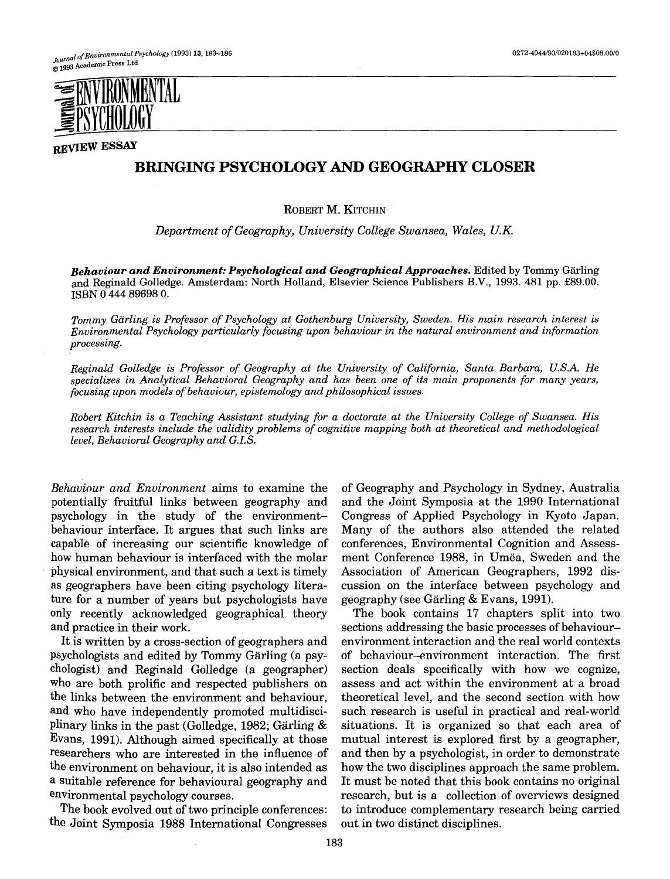

**REVIEW ESSAY** 

## **BRINGING PSYCHOLOGY AND GEOGRAPHY CLOSER**

ROBERT **M. KITCHIN** 

*Department of Geography, University College Swansea, Wales, U.K.* 

**Behaviour and Environment: Psychological and Geographical Approaches.** Edited by Tommy Gärling and Reginald Golledge. Amsterdam: North Holland, Elsevier Science Publishers B.V., 1993. 481 pp. £89.00. ISBN 0 444 89698 0.

*Tommy Gärling is Professor of Psychology at Gothenburg University, Sweden. His main research interest is Environmental Psychology particularly focusing upon behaviour in the natural environment and information processing.* 

*Reginald Golledge is Professor of Geography at the University of California, Santa Barbara, U.S.A. He specializes in Analytical Behavioral Geography and has been one of its main proponents for many years, focusing upon models of behaviour, epistemology and philosophical issues.* 

*Robert Kitchin is a Teaching Assistant studying for a doctorate at the University College of Swansea. His research interests include the validity problems of cognitive mapping both at theoretical and methodological level, Behavioral Geography and G.I.S.* 

*Behaviour and Environment* aims to examine the potentially fruitful links between geography and psychology in the study of the environmentbehaviour interface. It argues that such links are capable of increasing our scientific knowledge of how human behaviour is interfaced with the molar ' physical environment, and that such a text is timely as geographers have been citing psychology literature for a number of years but psychologists have only recently acknowledged geographical theory and practice in their work.

It is written by a cross-section of geographers and psychologists and edited by Tommy Gärling (a psychologist) and Reginald Golledge (a geographer) who are both prolific and respected publishers on the links between the environment and behaviour, and who have independently promoted multidisciplinary links in the past (Golledge, 1982; Gärling  $&$ Evans, 1991). Although aimed specifically at those researchers who are interested in the influence of the environment on behaviour, it is also intended as a suitable reference for behavioural geography and environmental psychology courses.

The book evolved out of two principle conferences: the Joint Symposia 1988 International Congresses

of Geography and Psychology in Sydney, Australia and the Joint Symposia at the 1990 International Congress of Applied Psychology in Kyoto Japan. Many of the authors also attended the related conferences, Environmental Cognition and Assessment Conference 1988, in Umëa, Sweden and the Association of American Geographers, 1992 discussion on the interface between psychology and geography (see Gärling & Evans, 1991).

The book contains 17 chapters split into two sections addressing the basic processes of behaviourenvironment interaction and the real world contexts of behaviour-environment interaction. The first section deals specifically with how we cognize, assess and act within the environment at a broad theoretical level, and the second section with how such research is useful in practical and real-world situations. It is organized so that each area of mutual interest is explored first by a geographer, and then by a psychologist, in order to demonstrate how the two disciplines approach the same problem. It must be noted that this book contains no original research, but is a collection of overviews designed to introduce complementary research being carried out in two distinct disciplines.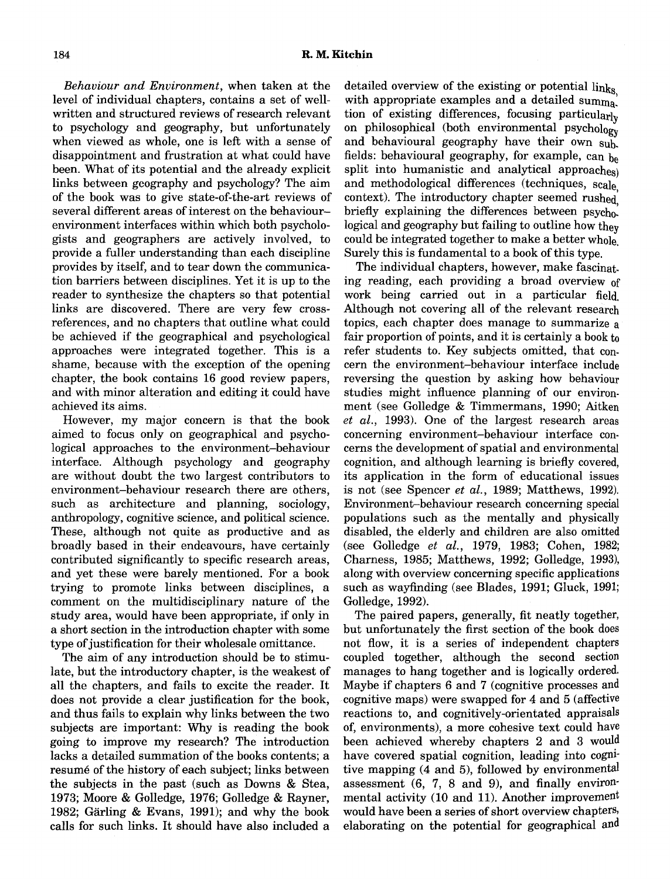*Behaviour and Environment,* when taken at the level of individual chapters, contains a set of wellwritten and structured reviews of research relevant to psychology and geography, but unfortunately when viewed as whole, one is left with a sense of disappointment and frustration at what could have been. What of its potential and the already explicit links between geography and psychology? The aim of the book was to give state-of-the-art reviews of several different areas of interest on the behaviourenvironment interfaces within which both psychologists and geographers are actively involved, to provide a fuller understanding than each discipline provides by itself, and to tear down the communication barriers between disciplines. Yet it is up to the reader to synthesize the chapters so that potential links are discovered. There are very few crossreferences, and no chapters that outline what could be achieved if the geographical and psychological approaches were integrated together. This is a shame, because with the exception of the opening chapter, the book contains 16 good review papers, and with minor alteration and editing it could have achieved its aims.

However, my major concern is that the book aimed to focus only on geographical and psychological approaches to the environment-behaviour interface. Although psychology and geography are without doubt the two largest contributors to environment-behaviour research there are others, such as architecture and planning, sociology, anthropology, cognitive science, and political science. These, although not quite as productive and as broadly based in their endeavours, have certainly contributed significantly to specific research areas, and yet these were barely mentioned. For a book trying to promote links between disciplines, a comment on the multidisciplinary nature of the study area, would have been appropriate, if only in a short section in the introduction chapter with some type of justification for their wholesale omittance.

The aim of any introduction should be to stimulate, but the introductory chapter, is the weakest of all the chapters, and fails to excite the reader. It does not provide a clear justification for the book, and thus fails to explain why links between the two subjects are important: Why is reading the book going to improve my research? The introduction lacks a detailed summation of the books contents; a resumé of the history of each subject; links between the subjects in the past (such as Downs & Stea, 1973; Moore & Golledge, 1976; Golledge & Rayner, 1982; Gärling & Evans, 1991); and why the book calls for such links. It should have also included a

detailed overview of the existing or potential links, with appropriate examples and a detailed summa. tion of existing differences, focusing particularly on philosophical (both environmental psychology and behavioural geography have their own sub. fields: behavioural geography, for example, can  $_{\text{be}}$ split into humanistic and analytical approaches) and methodological differences (techniques, scale, context). The introductory chapter seemed rushed briefly explaining the differences between psychological and geography but failing to outline how they could be integrated together to make a better whole Surely this is fundamental to a book of this type.

The individual chapters, however, make fascinating reading, each providing a broad overview of work being carried out in a particular field. Although not covering all of the relevant research topics, each chapter does manage to summarize a fair proportion of points, and it is certainly a book to refer students to. Key subjects omitted, that concern the environment-behaviour interface include reversing the question by asking how behaviour studies might influence planning of our environment (see Golledge & Timmermans, 1990; Aitken *et al.,* 1993). One of the largest research areas concerning environment-behaviour interface concerns the development of spatial and environmental cognition, and although learning is briefly covered, its application in the form of educational issues is not (see Spencer *et al.,* 1989; Matthews, 1992). Environment-behaviour research concerning special populations such as the mentally and physically disabled, the elderly and children are also omitted (see Golledge *et al.,* 1979, 1983; Cohen, 1982; Charness, 1985; Matthews, 1992; Golledge, 1993), along with overview concerning specific applications such as wayfinding (see Blades, 1991; Gluck, 1991; Golledge, 1992).

The paired papers, generally, fit neatly together, but unfortunately the first section of the book does not flow, it is a series of independent chapters coupled together, although the second section manages to hang together and is logically ordered. Maybe if chapters 6 and 7 (cognitive processes and cognitive maps) were swapped for 4 and 5 (affective reactions to, and cognitively-orientated appraisals of, environments), a more cohesive text could have been achieved whereby chapters 2 and 3 would have covered spatial cognition, leading into cognitive mapping (4 and 5), followed by environmental assessment (6, 7, 8 and 9), and finally environmental activity (10 and 11). Another improvement would have been a series of short overview chapters, elaborating on the potential for geographical and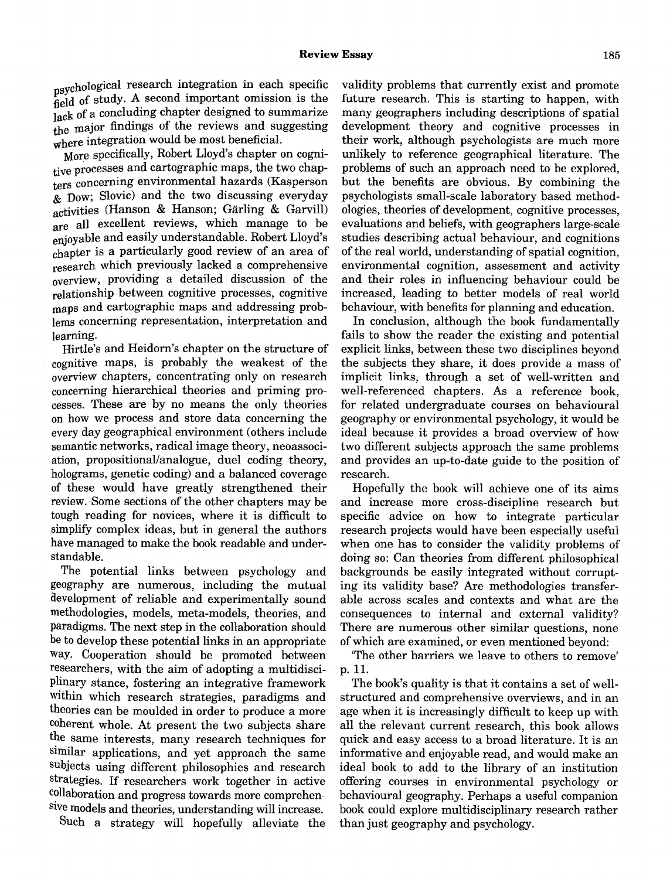**~**  eld of study. A second important omission is the sychological research integration in each specific lack of a concluding chapter designed to summarize the major findings of the reviews and suggesting where integration would be most beneficial.

More specifically, Robert Lloyd's chapter on cognitive processes and cartographic maps, the two chapters concerning environmental hazards (Kasperson  $\&$  Dow; Slovic) and the two discussing everyday activities (Hanson & Hanson; Garling & Garvill) are all excellent reviews, which manage to be enjoyable and easily understandable. Robert Lloyd's chapter is a particularly good review of an area of research which previously lacked a comprehensive overview, providing a detailed discussion of the relationship between cognitive processes, cognitive maps and cartographic maps and addressing problems concerning representation, interpretation and learning.

Hirtle's and Heidorn's chapter on the structure of cognitive maps, is probably the weakest of the overview chapters, concentrating only on research concerning hierarchical theories and priming processes. These are by no means the only theories on how we process and store data concerning the every day geographical environment (others include semantic networks, radical image theory, neoassociation, propositional/analogue, duel coding theory, holograms, genetic coding) and a balanced coverage of these would have greatly strengthened their review. Some sections of the other chapters may be tough reading for novices, where it is difficult to simplify complex ideas, but in general the authors have managed to make the book readable and understandable.

The potential links between psychology and geography are numerous, including the mutual development of reliable and experimentally sound methodologies, models, meta-models, theories, and paradigms. The next step in the collaboration should be to develop these potential links in an appropriate way. Cooperation should be promoted between researchers, with the aim of adopting a multidisciplinary stance, fostering an integrative framework within which research strategies, paradigms and theories can be moulded in order to produce a more coherent whole. At present the two subjects share the same interests, many research techniques for similar applications, and yet approach the same subjects using different philosophies and research strategies. If researchers work together in active collaboration and progress towards more comprehensive models and theories, understanding will increase.

Such a strategy will hopefully alleviate the

validity problems that currently exist and promote future research. This is starting to happen, with many geographers including descriptions of spatial development theory and cognitive processes in their work, although psychologists are much more unlikely to reference geographical literature. The problems of such an approach need to be explored, but the benefits are obvious. By combining the psychologists small-scale laboratory based methodologies, theories of development, cognitive processes, evaluations and beliefs, with geographers large-scale studies describing actual behaviour, and cognitions of the real world, understanding of spatial cognition, environmental cognition, assessment and activity and their roles in influencing behaviour could be increased, leading to better models of real world behaviour, with benefits for planning and education.

In conclusion, although the book fundamentally fails to show the reader the existing and potential explicit links, between these two disciplines beyond the subjects they share, it does provide a mass of implicit links, through a set of well-written and well-referenced chapters. As a reference book, for related undergraduate courses on behavioural geography or environmental psychology, it would be ideal because it provides a broad overview of how two different subjects approach the same problems and provides an up-to-date guide to the position of research.

Hopefully the book will achieve one of its aims and increase more cross-discipline research but specific advice on how to integrate particular research projects would have been especially useful when one has to consider the validity problems of doing so: Can theories from different philosophical backgrounds be easily integrated without corrupting its validity base? Are methodologies transferable across scales and contexts and what are the consequences to internal and external validity? There are numerous other similar questions, none of which are examined, or even mentioned beyond:

'The other barriers we leave to others to remove' p. ll.

The book's quality is that it contains a set of wellstructured and comprehensive overviews, and in an age when it is increasingly difficult to keep up with all the relevant current research, this book allows quick and easy access to a broad literature. It is an informative and enjoyable read, and would make an ideal book to add to the library of an institution offering courses in environmental psychology or behavioural geography. Perhaps a useful companion book could explore multidisciplinary research rather than just geography and psychology.